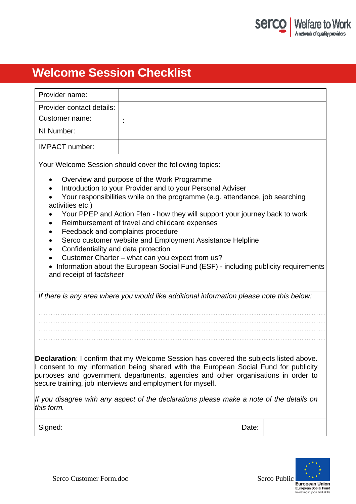

# **Welcome Session Checklist**

| Provider name:                                                                                                                                                                                                                                                                                                                                                                                                                                                                                                                                                                                       |                                                                                          |       |  |
|------------------------------------------------------------------------------------------------------------------------------------------------------------------------------------------------------------------------------------------------------------------------------------------------------------------------------------------------------------------------------------------------------------------------------------------------------------------------------------------------------------------------------------------------------------------------------------------------------|------------------------------------------------------------------------------------------|-------|--|
| Provider contact details:                                                                                                                                                                                                                                                                                                                                                                                                                                                                                                                                                                            |                                                                                          |       |  |
| Customer name:                                                                                                                                                                                                                                                                                                                                                                                                                                                                                                                                                                                       |                                                                                          |       |  |
| NI Number:                                                                                                                                                                                                                                                                                                                                                                                                                                                                                                                                                                                           |                                                                                          |       |  |
| <b>IMPACT</b> number:                                                                                                                                                                                                                                                                                                                                                                                                                                                                                                                                                                                |                                                                                          |       |  |
| Your Welcome Session should cover the following topics:<br>Overview and purpose of the Work Programme<br>Introduction to your Provider and to your Personal Adviser<br>Your responsibilities while on the programme (e.g. attendance, job searching<br>activities etc.)<br>Your PPEP and Action Plan - how they will support your journey back to work<br>Reimbursement of travel and childcare expenses<br>Feedback and complaints procedure<br>Serco customer website and Employment Assistance Helpline<br>Confidentiality and data protection<br>Customer Charter - what can you expect from us? |                                                                                          |       |  |
| Information about the European Social Fund (ESF) - including publicity requirements<br>and receipt of factsheet                                                                                                                                                                                                                                                                                                                                                                                                                                                                                      |                                                                                          |       |  |
|                                                                                                                                                                                                                                                                                                                                                                                                                                                                                                                                                                                                      | If there is any area where you would like additional information please note this below: |       |  |
| <b>Declaration:</b> I confirm that my Welcome Session has covered the subjects listed above.<br>I consent to my information being shared with the European Social Fund for publicity<br>purposes and government departments, agencies and other organisations in order to<br>secure training, job interviews and employment for myself.<br>If you disagree with any aspect of the declarations please make a note of the details on<br>this form.                                                                                                                                                    |                                                                                          |       |  |
| Signed:                                                                                                                                                                                                                                                                                                                                                                                                                                                                                                                                                                                              |                                                                                          | Date: |  |

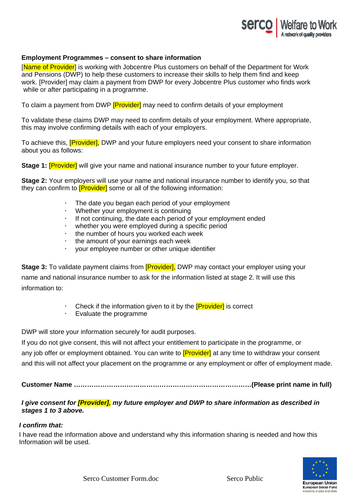

## **Employment Programmes – consent to share information**

[Name of Provider] is working with Jobcentre Plus customers on behalf of the Department for Work and Pensions (DWP) to help these customers to increase their skills to help them find and keep work. [Provider] may claim a payment from DWP for every Jobcentre Plus customer who finds work while or after participating in a programme.

To claim a payment from DWP **[Provider**] may need to confirm details of your employment

To validate these claims DWP may need to confirm details of your employment. Where appropriate, this may involve confirming details with each of your employers.

To achieve this, **[Provider]**, DWP and your future employers need your consent to share information about you as follows:

**Stage 1: [Provider]** will give your name and national insurance number to your future employer.

**Stage 2:** Your employers will use your name and national insurance number to identify you, so that they can confirm to **[Provider]** some or all of the following information:

- The date you began each period of your employment
- Whether your employment is continuing
- If not continuing, the date each period of your employment ended
- whether you were employed during a specific period
- the number of hours you worked each week
- the amount of your earnings each week
- your employee number or other unique identifier

**Stage 3:** To validate payment claims from **[Provider]**, DWP may contact your employer using your name and national insurance number to ask for the information listed at stage 2. It will use this information to:

- Check if the information given to it by the **[Provider]** is correct
- Evaluate the programme

DWP will store your information securely for audit purposes.

If you do not give consent, this will not affect your entitlement to participate in the programme, or any job offer or employment obtained. You can write to **[Provider]** at any time to withdraw your consent and this will not affect your placement on the programme or any employment or offer of employment made.

**Customer Name ………………………………………………………………………(Please print name in full)** 

# *I give consent for [Provider], my future employer and DWP to share information as described in stages 1 to 3 above.*

#### *I confirm that:*

I have read the information above and understand why this information sharing is needed and how this Information will be used.